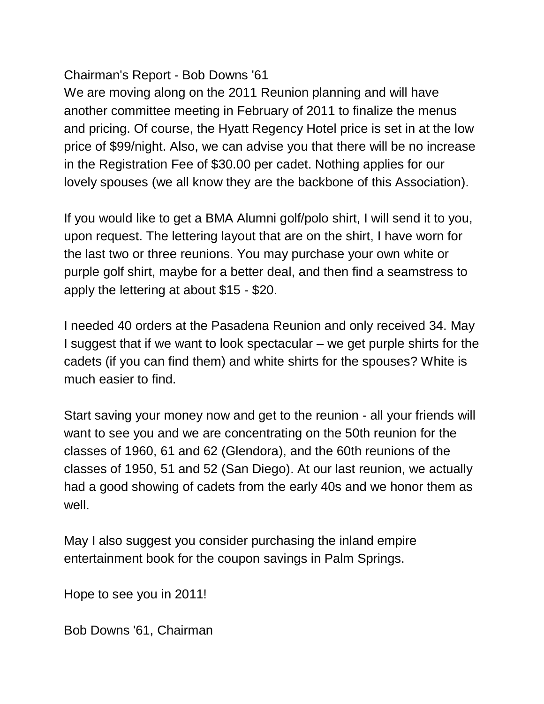### Chairman's Report - Bob Downs '61

We are moving along on the 2011 Reunion planning and will have another committee meeting in February of 2011 to finalize the menus and pricing. Of course, the Hyatt Regency Hotel price is set in at the low price of \$99/night. Also, we can advise you that there will be no increase in the Registration Fee of \$30.00 per cadet. Nothing applies for our lovely spouses (we all know they are the backbone of this Association).

If you would like to get a BMA Alumni golf/polo shirt, I will send it to you, upon request. The lettering layout that are on the shirt, I have worn for the last two or three reunions. You may purchase your own white or purple golf shirt, maybe for a better deal, and then find a seamstress to apply the lettering at about \$15 - \$20.

I needed 40 orders at the Pasadena Reunion and only received 34. May I suggest that if we want to look spectacular – we get purple shirts for the cadets (if you can find them) and white shirts for the spouses? White is much easier to find.

Start saving your money now and get to the reunion - all your friends will want to see you and we are concentrating on the 50th reunion for the classes of 1960, 61 and 62 (Glendora), and the 60th reunions of the classes of 1950, 51 and 52 (San Diego). At our last reunion, we actually had a good showing of cadets from the early 40s and we honor them as well.

May I also suggest you consider purchasing the inland empire entertainment book for the coupon savings in Palm Springs.

Hope to see you in 2011!

Bob Downs '61, Chairman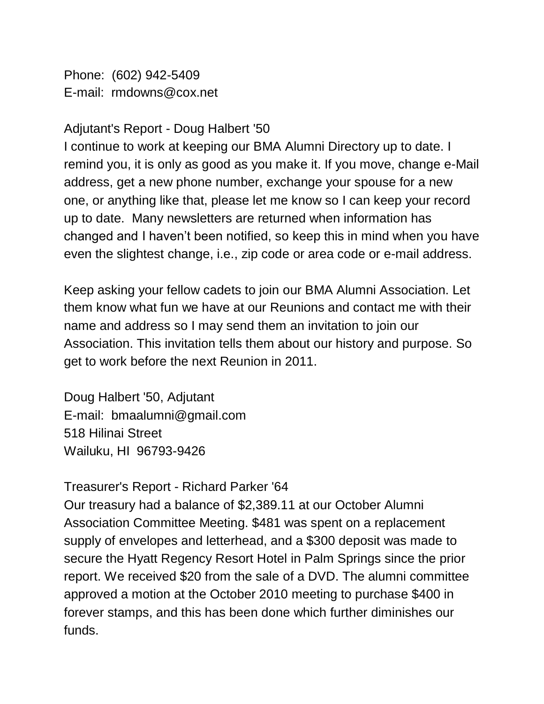Phone: (602) 942-5409 E-mail: rmdowns@cox.net

### Adjutant's Report - Doug Halbert '50

I continue to work at keeping our BMA Alumni Directory up to date. I remind you, it is only as good as you make it. If you move, change e-Mail address, get a new phone number, exchange your spouse for a new one, or anything like that, please let me know so I can keep your record up to date. Many newsletters are returned when information has changed and I haven't been notified, so keep this in mind when you have even the slightest change, i.e., zip code or area code or e-mail address.

Keep asking your fellow cadets to join our BMA Alumni Association. Let them know what fun we have at our Reunions and contact me with their name and address so I may send them an invitation to join our Association. This invitation tells them about our history and purpose. So get to work before the next Reunion in 2011.

Doug Halbert '50, Adjutant E-mail: bmaalumni@gmail.com 518 Hilinai Street Wailuku, HI 96793-9426

# Treasurer's Report - Richard Parker '64

Our treasury had a balance of \$2,389.11 at our October Alumni Association Committee Meeting. \$481 was spent on a replacement supply of envelopes and letterhead, and a \$300 deposit was made to secure the Hyatt Regency Resort Hotel in Palm Springs since the prior report. We received \$20 from the sale of a DVD. The alumni committee approved a motion at the October 2010 meeting to purchase \$400 in forever stamps, and this has been done which further diminishes our funds.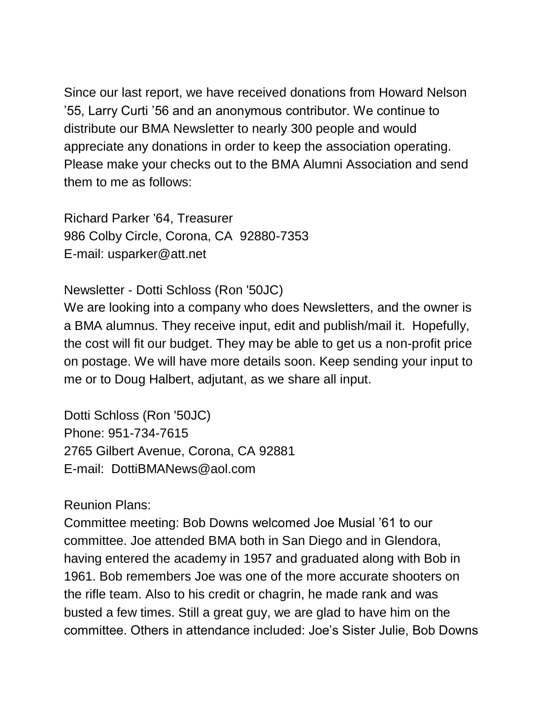Since our last report, we have received donations from Howard Nelson '55, Larry Curti '56 and an anonymous contributor. We continue to distribute our BMA Newsletter to nearly 300 people and would appreciate any donations in order to keep the association operating. Please make your checks out to the BMA Alumni Association and send them to me as follows:

Richard Parker '64, Treasurer 986 Colby Circle, Corona, CA 92880-7353 E-mail: usparker@att.net

Newsletter - Dotti Schloss (Ron '50JC)

We are looking into a company who does Newsletters, and the owner is a BMA alumnus. They receive input, edit and publish/mail it. Hopefully, the cost will fit our budget. They may be able to get us a non-profit price on postage. We will have more details soon. Keep sending your input to me or to Doug Halbert, adjutant, as we share all input.

Dotti Schloss (Ron '50JC) Phone: 951-734-7615 2765 Gilbert Avenue, Corona, CA 92881 E-mail: DottiBMANews@aol.com

Reunion Plans:

Committee meeting: Bob Downs welcomed Joe Musial '61 to our committee. Joe attended BMA both in San Diego and in Glendora, having entered the academy in 1957 and graduated along with Bob in 1961. Bob remembers Joe was one of the more accurate shooters on the rifle team. Also to his credit or chagrin, he made rank and was busted a few times. Still a great guy, we are glad to have him on the committee. Others in attendance included: Joe's Sister Julie, Bob Downs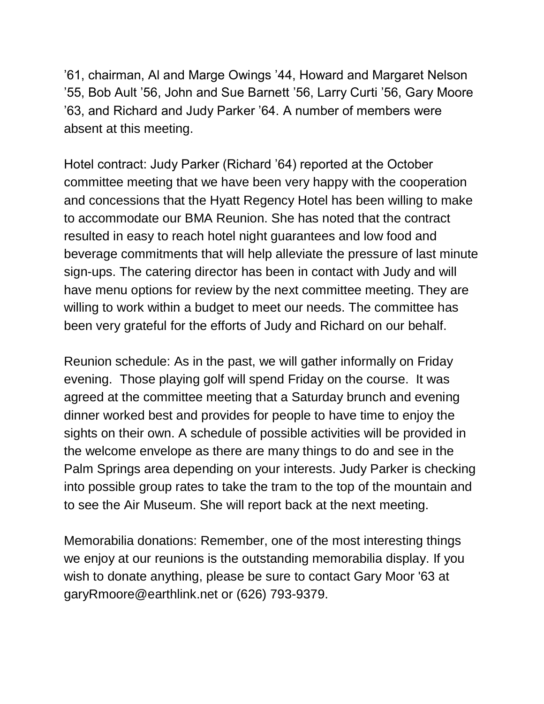'61, chairman, Al and Marge Owings '44, Howard and Margaret Nelson '55, Bob Ault '56, John and Sue Barnett '56, Larry Curti '56, Gary Moore '63, and Richard and Judy Parker '64. A number of members were absent at this meeting.

Hotel contract: Judy Parker (Richard '64) reported at the October committee meeting that we have been very happy with the cooperation and concessions that the Hyatt Regency Hotel has been willing to make to accommodate our BMA Reunion. She has noted that the contract resulted in easy to reach hotel night guarantees and low food and beverage commitments that will help alleviate the pressure of last minute sign-ups. The catering director has been in contact with Judy and will have menu options for review by the next committee meeting. They are willing to work within a budget to meet our needs. The committee has been very grateful for the efforts of Judy and Richard on our behalf.

Reunion schedule: As in the past, we will gather informally on Friday evening. Those playing golf will spend Friday on the course. It was agreed at the committee meeting that a Saturday brunch and evening dinner worked best and provides for people to have time to enjoy the sights on their own. A schedule of possible activities will be provided in the welcome envelope as there are many things to do and see in the Palm Springs area depending on your interests. Judy Parker is checking into possible group rates to take the tram to the top of the mountain and to see the Air Museum. She will report back at the next meeting.

Memorabilia donations: Remember, one of the most interesting things we enjoy at our reunions is the outstanding memorabilia display. If you wish to donate anything, please be sure to contact Gary Moor '63 at garyRmoore@earthlink.net or (626) 793-9379.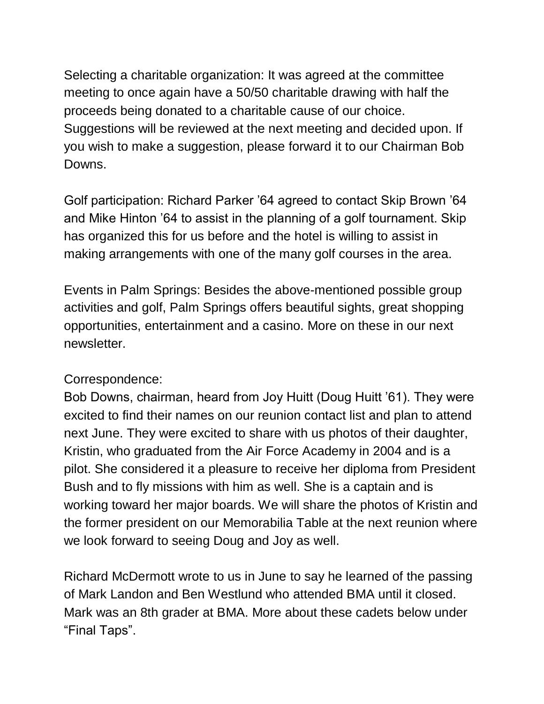Selecting a charitable organization: It was agreed at the committee meeting to once again have a 50/50 charitable drawing with half the proceeds being donated to a charitable cause of our choice. Suggestions will be reviewed at the next meeting and decided upon. If you wish to make a suggestion, please forward it to our Chairman Bob Downs.

Golf participation: Richard Parker '64 agreed to contact Skip Brown '64 and Mike Hinton '64 to assist in the planning of a golf tournament. Skip has organized this for us before and the hotel is willing to assist in making arrangements with one of the many golf courses in the area.

Events in Palm Springs: Besides the above-mentioned possible group activities and golf, Palm Springs offers beautiful sights, great shopping opportunities, entertainment and a casino. More on these in our next newsletter.

### Correspondence:

Bob Downs, chairman, heard from Joy Huitt (Doug Huitt '61). They were excited to find their names on our reunion contact list and plan to attend next June. They were excited to share with us photos of their daughter, Kristin, who graduated from the Air Force Academy in 2004 and is a pilot. She considered it a pleasure to receive her diploma from President Bush and to fly missions with him as well. She is a captain and is working toward her major boards. We will share the photos of Kristin and the former president on our Memorabilia Table at the next reunion where we look forward to seeing Doug and Joy as well.

Richard McDermott wrote to us in June to say he learned of the passing of Mark Landon and Ben Westlund who attended BMA until it closed. Mark was an 8th grader at BMA. More about these cadets below under "Final Taps".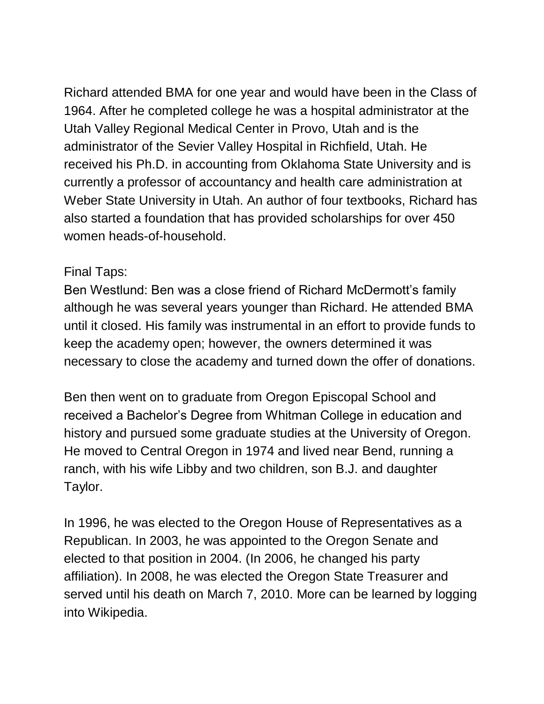Richard attended BMA for one year and would have been in the Class of 1964. After he completed college he was a hospital administrator at the Utah Valley Regional Medical Center in Provo, Utah and is the administrator of the Sevier Valley Hospital in Richfield, Utah. He received his Ph.D. in accounting from Oklahoma State University and is currently a professor of accountancy and health care administration at Weber State University in Utah. An author of four textbooks, Richard has also started a foundation that has provided scholarships for over 450 women heads-of-household.

## Final Taps:

Ben Westlund: Ben was a close friend of Richard McDermott's family although he was several years younger than Richard. He attended BMA until it closed. His family was instrumental in an effort to provide funds to keep the academy open; however, the owners determined it was necessary to close the academy and turned down the offer of donations.

Ben then went on to graduate from Oregon Episcopal School and received a Bachelor's Degree from Whitman College in education and history and pursued some graduate studies at the University of Oregon. He moved to Central Oregon in 1974 and lived near Bend, running a ranch, with his wife Libby and two children, son B.J. and daughter Taylor.

In 1996, he was elected to the Oregon House of Representatives as a Republican. In 2003, he was appointed to the Oregon Senate and elected to that position in 2004. (In 2006, he changed his party affiliation). In 2008, he was elected the Oregon State Treasurer and served until his death on March 7, 2010. More can be learned by logging into Wikipedia.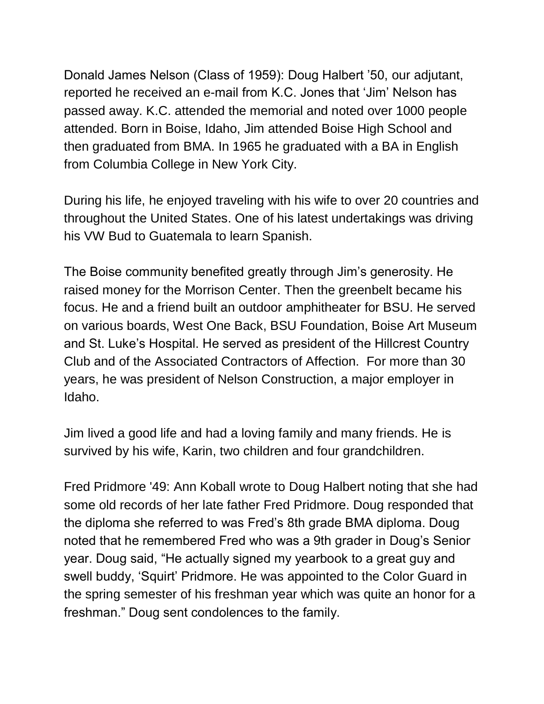Donald James Nelson (Class of 1959): Doug Halbert '50, our adjutant, reported he received an e-mail from K.C. Jones that 'Jim' Nelson has passed away. K.C. attended the memorial and noted over 1000 people attended. Born in Boise, Idaho, Jim attended Boise High School and then graduated from BMA. In 1965 he graduated with a BA in English from Columbia College in New York City.

During his life, he enjoyed traveling with his wife to over 20 countries and throughout the United States. One of his latest undertakings was driving his VW Bud to Guatemala to learn Spanish.

The Boise community benefited greatly through Jim's generosity. He raised money for the Morrison Center. Then the greenbelt became his focus. He and a friend built an outdoor amphitheater for BSU. He served on various boards, West One Back, BSU Foundation, Boise Art Museum and St. Luke's Hospital. He served as president of the Hillcrest Country Club and of the Associated Contractors of Affection. For more than 30 years, he was president of Nelson Construction, a major employer in Idaho.

Jim lived a good life and had a loving family and many friends. He is survived by his wife, Karin, two children and four grandchildren.

Fred Pridmore '49: Ann Koball wrote to Doug Halbert noting that she had some old records of her late father Fred Pridmore. Doug responded that the diploma she referred to was Fred's 8th grade BMA diploma. Doug noted that he remembered Fred who was a 9th grader in Doug's Senior year. Doug said, "He actually signed my yearbook to a great guy and swell buddy, 'Squirt' Pridmore. He was appointed to the Color Guard in the spring semester of his freshman year which was quite an honor for a freshman." Doug sent condolences to the family.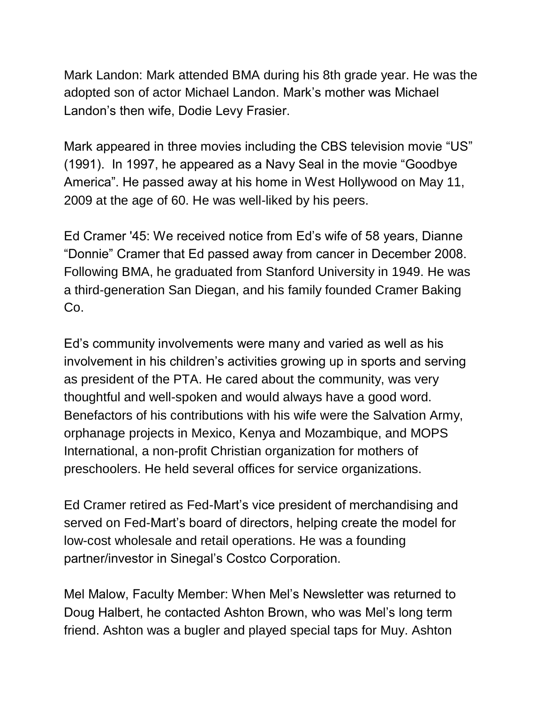Mark Landon: Mark attended BMA during his 8th grade year. He was the adopted son of actor Michael Landon. Mark's mother was Michael Landon's then wife, Dodie Levy Frasier.

Mark appeared in three movies including the CBS television movie "US" (1991). In 1997, he appeared as a Navy Seal in the movie "Goodbye America". He passed away at his home in West Hollywood on May 11, 2009 at the age of 60. He was well-liked by his peers.

Ed Cramer '45: We received notice from Ed's wife of 58 years, Dianne "Donnie" Cramer that Ed passed away from cancer in December 2008. Following BMA, he graduated from Stanford University in 1949. He was a third-generation San Diegan, and his family founded Cramer Baking Co.

Ed's community involvements were many and varied as well as his involvement in his children's activities growing up in sports and serving as president of the PTA. He cared about the community, was very thoughtful and well-spoken and would always have a good word. Benefactors of his contributions with his wife were the Salvation Army, orphanage projects in Mexico, Kenya and Mozambique, and MOPS International, a non-profit Christian organization for mothers of preschoolers. He held several offices for service organizations.

Ed Cramer retired as Fed-Mart's vice president of merchandising and served on Fed-Mart's board of directors, helping create the model for low-cost wholesale and retail operations. He was a founding partner/investor in Sinegal's Costco Corporation.

Mel Malow, Faculty Member: When Mel's Newsletter was returned to Doug Halbert, he contacted Ashton Brown, who was Mel's long term friend. Ashton was a bugler and played special taps for Muy. Ashton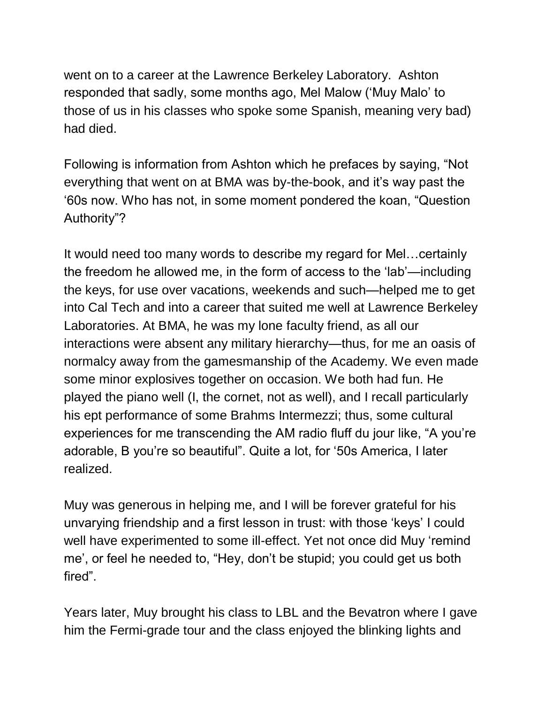went on to a career at the Lawrence Berkeley Laboratory. Ashton responded that sadly, some months ago, Mel Malow ('Muy Malo' to those of us in his classes who spoke some Spanish, meaning very bad) had died.

Following is information from Ashton which he prefaces by saying, "Not everything that went on at BMA was by-the-book, and it's way past the '60s now. Who has not, in some moment pondered the koan, "Question Authority"?

It would need too many words to describe my regard for Mel…certainly the freedom he allowed me, in the form of access to the 'lab'—including the keys, for use over vacations, weekends and such—helped me to get into Cal Tech and into a career that suited me well at Lawrence Berkeley Laboratories. At BMA, he was my lone faculty friend, as all our interactions were absent any military hierarchy—thus, for me an oasis of normalcy away from the gamesmanship of the Academy. We even made some minor explosives together on occasion. We both had fun. He played the piano well (I, the cornet, not as well), and I recall particularly his ept performance of some Brahms Intermezzi; thus, some cultural experiences for me transcending the AM radio fluff du jour like, "A you're adorable, B you're so beautiful". Quite a lot, for '50s America, I later realized.

Muy was generous in helping me, and I will be forever grateful for his unvarying friendship and a first lesson in trust: with those 'keys' I could well have experimented to some ill-effect. Yet not once did Muy 'remind me', or feel he needed to, "Hey, don't be stupid; you could get us both fired".

Years later, Muy brought his class to LBL and the Bevatron where I gave him the Fermi-grade tour and the class enjoyed the blinking lights and